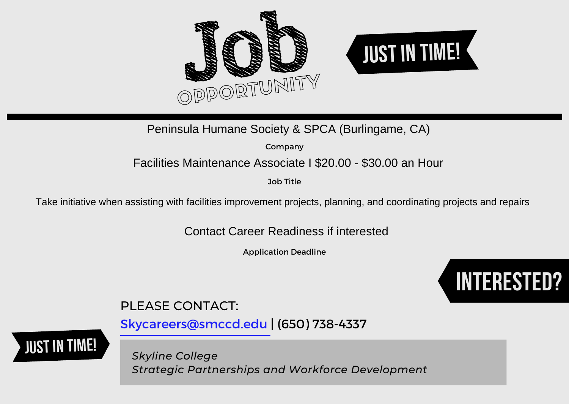

### Peninsula Humane Society & SPCA (Burlingame, CA)

Company

## Facilities Maintenance Associate I \$20.00 - \$30.00 an Hour

Job Title

Take initiative when assisting with facilities improvement projects, planning, and coordinating projects and repairs

Contact Career Readiness if interested

Application Deadline



# PLEASE CONTACT:

[Skycareers@smccd.edu | \(650\) 738-4337](mailto:skycareers@smccd.edu)

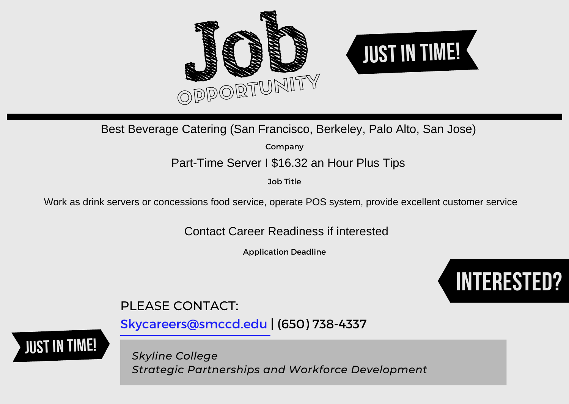

### Best Beverage Catering (San Francisco, Berkeley, Palo Alto, San Jose)

Company

### Part-Time Server I \$16.32 an Hour Plus Tips

Job Title

Work as drink servers or concessions food service, operate POS system, provide excellent customer service

Contact Career Readiness if interested

Application Deadline



# PLEASE CONTACT:

[Skycareers@smccd.edu | \(650\) 738-4337](mailto:skycareers@smccd.edu)

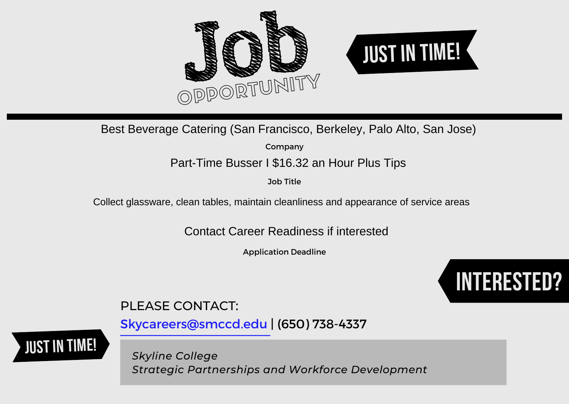

Best Beverage Catering (San Francisco, Berkeley, Palo Alto, San Jose)

Company

### Part-Time Busser I \$16.32 an Hour Plus Tips

Job Title

Collect glassware, clean tables, maintain cleanliness and appearance of service areas

Contact Career Readiness if interested

Application Deadline



# PLEASE CONTACT:

[Skycareers@smccd.edu | \(650\) 738-4337](mailto:skycareers@smccd.edu)

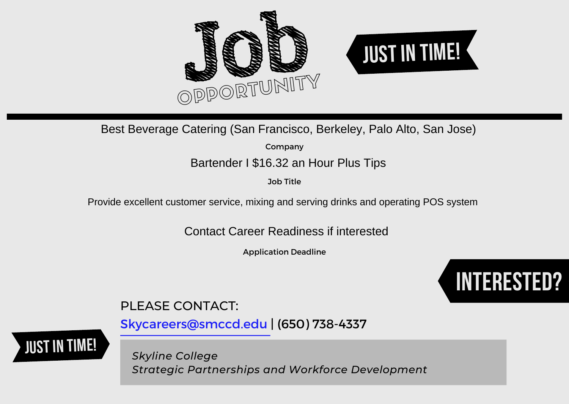

Best Beverage Catering (San Francisco, Berkeley, Palo Alto, San Jose)<br>company<br>Bartender I \$16.32 an Hour Plus Tips

Company

Job Title

Provide excellent customer service, mixing and serving drinks and operating POS system

Contact Career Readiness if interested

Application Deadline



## PLEASE CONTACT:

[Skycareers@smccd.edu | \(650\) 738-4337](mailto:skycareers@smccd.edu)

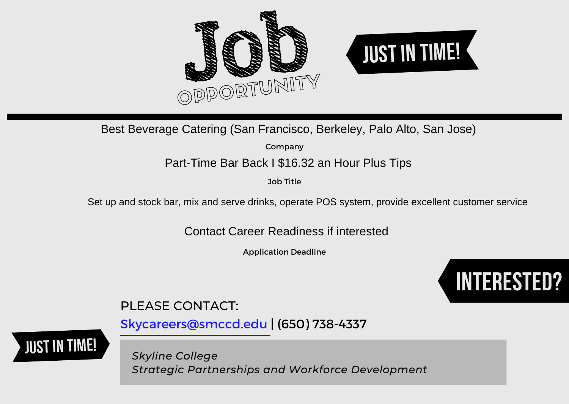

Best Beverage Catering (San Francisco, Berkeley, Palo Alto, San Jose)

Company

Part-Time Bar Back I \$16.32 an Hour Plus Tips

Job Title

Set up and stock bar, mix and serve drinks, operate POS system, provide excellent customer service

Contact Career Readiness if interested

Application Deadline



## PLEASE CONTACT:

[Skycareers@smccd.edu | \(650\) 738-4337](mailto:skycareers@smccd.edu)

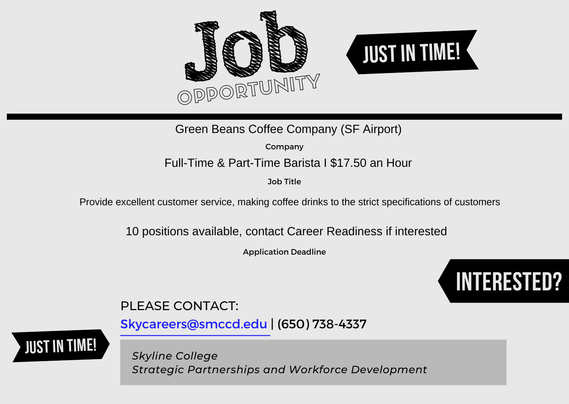



Green Beans Coffee Company (SF Airport)

Company

## Full-Time & Part-Time Barista I \$17.50 an Hour

Job Title

Provide excellent customer service, making coffee drinks to the strict specifications of customers

10 positions available, contact Career Readiness if interested

Application Deadline



# PLEASE CONTACT:

[Skycareers@smccd.edu | \(650\) 738-4337](mailto:skycareers@smccd.edu)